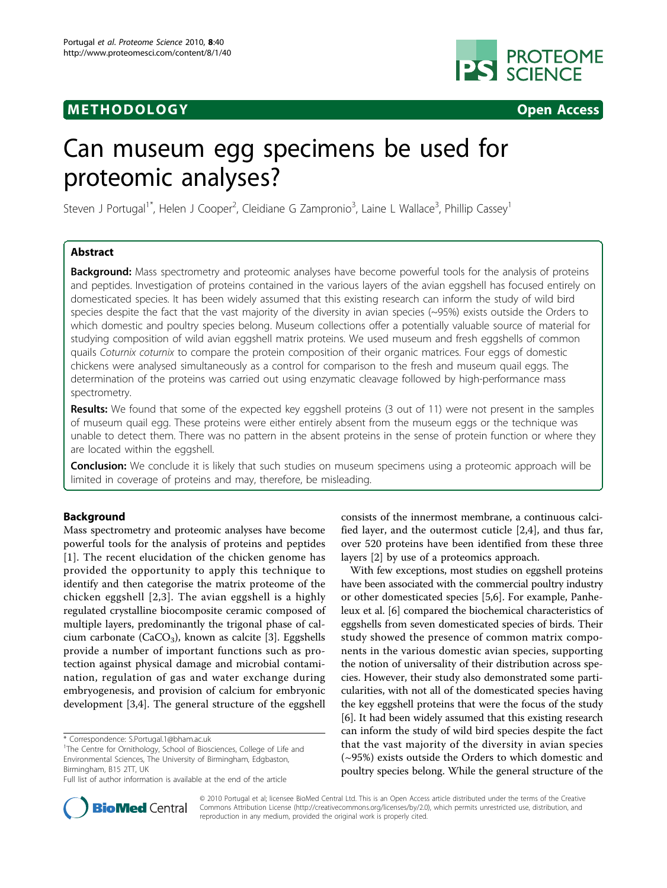## **METHODOLOGY Open Access**



# Can museum egg specimens be used for proteomic analyses?

Steven J Portugal<sup>1\*</sup>, Helen J Cooper<sup>2</sup>, Cleidiane G Zampronio<sup>3</sup>, Laine L Wallace<sup>3</sup>, Phillip Cassey<sup>1</sup>

## Abstract

**Background:** Mass spectrometry and proteomic analyses have become powerful tools for the analysis of proteins and peptides. Investigation of proteins contained in the various layers of the avian eggshell has focused entirely on domesticated species. It has been widely assumed that this existing research can inform the study of wild bird species despite the fact that the vast majority of the diversity in avian species (~95%) exists outside the Orders to which domestic and poultry species belong. Museum collections offer a potentially valuable source of material for studying composition of wild avian eggshell matrix proteins. We used museum and fresh eggshells of common quails Coturnix coturnix to compare the protein composition of their organic matrices. Four eggs of domestic chickens were analysed simultaneously as a control for comparison to the fresh and museum quail eggs. The determination of the proteins was carried out using enzymatic cleavage followed by high-performance mass spectrometry.

Results: We found that some of the expected key eggshell proteins (3 out of 11) were not present in the samples of museum quail egg. These proteins were either entirely absent from the museum eggs or the technique was unable to detect them. There was no pattern in the absent proteins in the sense of protein function or where they are located within the eggshell.

**Conclusion:** We conclude it is likely that such studies on museum specimens using a proteomic approach will be limited in coverage of proteins and may, therefore, be misleading.

## Background

Mass spectrometry and proteomic analyses have become powerful tools for the analysis of proteins and peptides [[1](#page-4-0)]. The recent elucidation of the chicken genome has provided the opportunity to apply this technique to identify and then categorise the matrix proteome of the chicken eggshell [[2,3](#page-4-0)]. The avian eggshell is a highly regulated crystalline biocomposite ceramic composed of multiple layers, predominantly the trigonal phase of cal-cium carbonate (CaCO<sub>3</sub>), known as calcite [[3\]](#page-4-0). Eggshells provide a number of important functions such as protection against physical damage and microbial contamination, regulation of gas and water exchange during embryogenesis, and provision of calcium for embryonic development [\[3,4](#page-4-0)]. The general structure of the eggshell

consists of the innermost membrane, a continuous calcified layer, and the outermost cuticle [\[2,4](#page-4-0)], and thus far, over 520 proteins have been identified from these three layers [\[2](#page-4-0)] by use of a proteomics approach.

With few exceptions, most studies on eggshell proteins have been associated with the commercial poultry industry or other domesticated species [\[5,6](#page-4-0)]. For example, Panheleux et al. [[6\]](#page-4-0) compared the biochemical characteristics of eggshells from seven domesticated species of birds. Their study showed the presence of common matrix components in the various domestic avian species, supporting the notion of universality of their distribution across species. However, their study also demonstrated some particularities, with not all of the domesticated species having the key eggshell proteins that were the focus of the study [[6\]](#page-4-0). It had been widely assumed that this existing research can inform the study of wild bird species despite the fact that the vast majority of the diversity in avian species (~95%) exists outside the Orders to which domestic and poultry species belong. While the general structure of the



© 2010 Portugal et al; licensee BioMed Central Ltd. This is an Open Access article distributed under the terms of the Creative Commons Attribution License [\(http://creativecommons.org/licenses/by/2.0](http://creativecommons.org/licenses/by/2.0)), which permits unrestricted use, distribution, and reproduction in any medium, provided the original work is properly cited.

<sup>\*</sup> Correspondence: [S.Portugal.1@bham.ac.uk](mailto:S.Portugal.1@bham.ac.uk)

<sup>&</sup>lt;sup>1</sup>The Centre for Ornithology, School of Biosciences, College of Life and Environmental Sciences, The University of Birmingham, Edgbaston, Birmingham, B15 2TT, UK

Full list of author information is available at the end of the article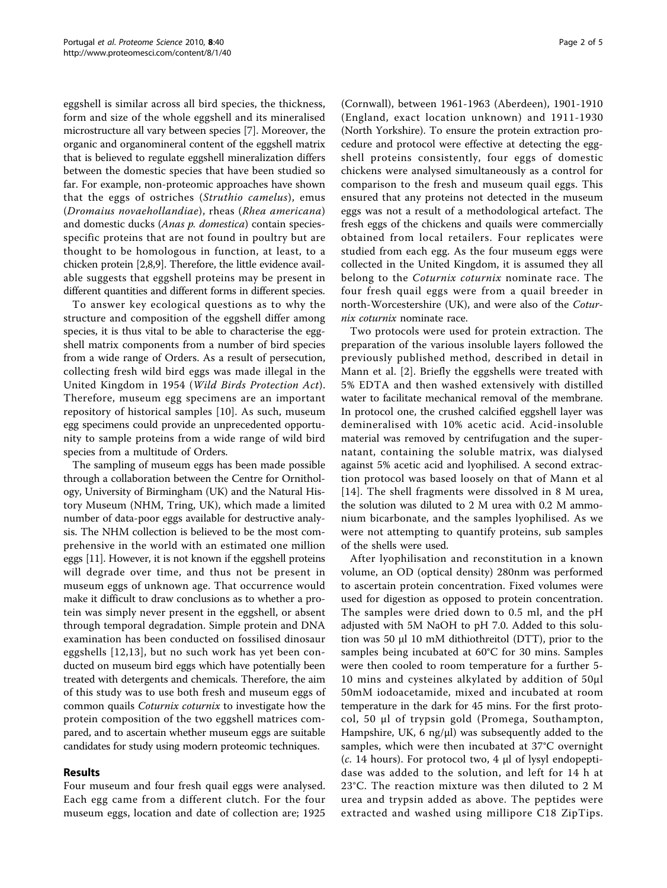eggshell is similar across all bird species, the thickness, form and size of the whole eggshell and its mineralised microstructure all vary between species [[7\]](#page-4-0). Moreover, the organic and organomineral content of the eggshell matrix that is believed to regulate eggshell mineralization differs between the domestic species that have been studied so far. For example, non-proteomic approaches have shown that the eggs of ostriches (Struthio camelus), emus (Dromaius novaehollandiae), rheas (Rhea americana) and domestic ducks (Anas p. domestica) contain speciesspecific proteins that are not found in poultry but are thought to be homologous in function, at least, to a chicken protein [[2,8,9](#page-4-0)]. Therefore, the little evidence available suggests that eggshell proteins may be present in different quantities and different forms in different species.

To answer key ecological questions as to why the structure and composition of the eggshell differ among species, it is thus vital to be able to characterise the eggshell matrix components from a number of bird species from a wide range of Orders. As a result of persecution, collecting fresh wild bird eggs was made illegal in the United Kingdom in 1954 (Wild Birds Protection Act). Therefore, museum egg specimens are an important repository of historical samples [\[10](#page-4-0)]. As such, museum egg specimens could provide an unprecedented opportunity to sample proteins from a wide range of wild bird species from a multitude of Orders.

The sampling of museum eggs has been made possible through a collaboration between the Centre for Ornithology, University of Birmingham (UK) and the Natural History Museum (NHM, Tring, UK), which made a limited number of data-poor eggs available for destructive analysis. The NHM collection is believed to be the most comprehensive in the world with an estimated one million eggs [[11](#page-4-0)]. However, it is not known if the eggshell proteins will degrade over time, and thus not be present in museum eggs of unknown age. That occurrence would make it difficult to draw conclusions as to whether a protein was simply never present in the eggshell, or absent through temporal degradation. Simple protein and DNA examination has been conducted on fossilised dinosaur eggshells [[12](#page-4-0),[13](#page-4-0)], but no such work has yet been conducted on museum bird eggs which have potentially been treated with detergents and chemicals. Therefore, the aim of this study was to use both fresh and museum eggs of common quails Coturnix coturnix to investigate how the protein composition of the two eggshell matrices compared, and to ascertain whether museum eggs are suitable candidates for study using modern proteomic techniques.

## Results

Four museum and four fresh quail eggs were analysed. Each egg came from a different clutch. For the four museum eggs, location and date of collection are; 1925

(Cornwall), between 1961-1963 (Aberdeen), 1901-1910 (England, exact location unknown) and 1911-1930 (North Yorkshire). To ensure the protein extraction procedure and protocol were effective at detecting the eggshell proteins consistently, four eggs of domestic chickens were analysed simultaneously as a control for comparison to the fresh and museum quail eggs. This ensured that any proteins not detected in the museum eggs was not a result of a methodological artefact. The fresh eggs of the chickens and quails were commercially obtained from local retailers. Four replicates were studied from each egg. As the four museum eggs were collected in the United Kingdom, it is assumed they all belong to the *Coturnix coturnix* nominate race. The four fresh quail eggs were from a quail breeder in north-Worcestershire (UK), and were also of the Coturnix coturnix nominate race.

Two protocols were used for protein extraction. The preparation of the various insoluble layers followed the previously published method, described in detail in Mann et al. [[2\]](#page-4-0). Briefly the eggshells were treated with 5% EDTA and then washed extensively with distilled water to facilitate mechanical removal of the membrane. In protocol one, the crushed calcified eggshell layer was demineralised with 10% acetic acid. Acid-insoluble material was removed by centrifugation and the supernatant, containing the soluble matrix, was dialysed against 5% acetic acid and lyophilised. A second extraction protocol was based loosely on that of Mann et al [[14](#page-4-0)]. The shell fragments were dissolved in 8 M urea, the solution was diluted to 2 M urea with 0.2 M ammonium bicarbonate, and the samples lyophilised. As we were not attempting to quantify proteins, sub samples of the shells were used.

After lyophilisation and reconstitution in a known volume, an OD (optical density) 280nm was performed to ascertain protein concentration. Fixed volumes were used for digestion as opposed to protein concentration. The samples were dried down to 0.5 ml, and the pH adjusted with 5M NaOH to pH 7.0. Added to this solution was 50 μl 10 mM dithiothreitol (DTT), prior to the samples being incubated at 60°C for 30 mins. Samples were then cooled to room temperature for a further 5- 10 mins and cysteines alkylated by addition of 50μl 50mM iodoacetamide, mixed and incubated at room temperature in the dark for 45 mins. For the first protocol, 50 μl of trypsin gold (Promega, Southampton, Hampshire, UK, 6 ng/ $\mu$ l) was subsequently added to the samples, which were then incubated at 37°C overnight (c. 14 hours). For protocol two, 4  $\mu$ l of lysyl endopeptidase was added to the solution, and left for 14 h at 23°C. The reaction mixture was then diluted to 2 M urea and trypsin added as above. The peptides were extracted and washed using millipore C18 ZipTips.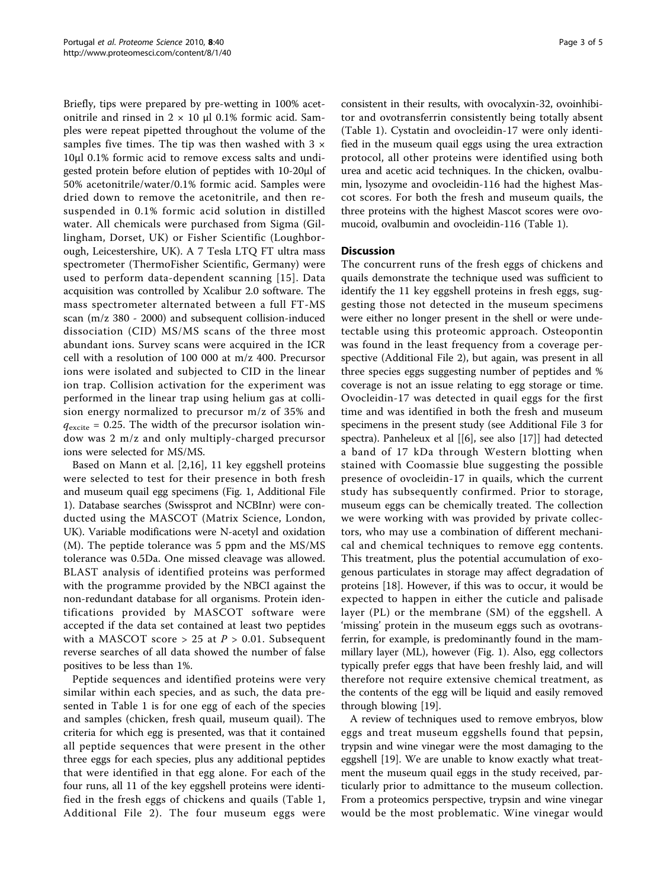Briefly, tips were prepared by pre-wetting in 100% acetonitrile and rinsed in  $2 \times 10$  µl 0.1% formic acid. Samples were repeat pipetted throughout the volume of the samples five times. The tip was then washed with  $3 \times$ 10μl 0.1% formic acid to remove excess salts and undigested protein before elution of peptides with 10-20μl of 50% acetonitrile/water/0.1% formic acid. Samples were dried down to remove the acetonitrile, and then resuspended in 0.1% formic acid solution in distilled water. All chemicals were purchased from Sigma (Gillingham, Dorset, UK) or Fisher Scientific (Loughborough, Leicestershire, UK). A 7 Tesla LTQ FT ultra mass spectrometer (ThermoFisher Scientific, Germany) were used to perform data-dependent scanning [[15\]](#page-4-0). Data acquisition was controlled by Xcalibur 2.0 software. The mass spectrometer alternated between a full FT-MS scan (m/z 380 - 2000) and subsequent collision-induced dissociation (CID) MS/MS scans of the three most abundant ions. Survey scans were acquired in the ICR cell with a resolution of 100 000 at m/z 400. Precursor ions were isolated and subjected to CID in the linear ion trap. Collision activation for the experiment was performed in the linear trap using helium gas at collision energy normalized to precursor m/z of 35% and  $q_{\text{excite}} = 0.25$ . The width of the precursor isolation window was 2 m/z and only multiply-charged precursor ions were selected for MS/MS.

Based on Mann et al. [\[2](#page-4-0),[16\]](#page-4-0), 11 key eggshell proteins were selected to test for their presence in both fresh and museum quail egg specimens (Fig. [1](#page-3-0), Additional File [1\)](#page-4-0). Database searches (Swissprot and NCBInr) were conducted using the MASCOT (Matrix Science, London, UK). Variable modifications were N-acetyl and oxidation (M). The peptide tolerance was 5 ppm and the MS/MS tolerance was 0.5Da. One missed cleavage was allowed. BLAST analysis of identified proteins was performed with the programme provided by the NBCI against the non-redundant database for all organisms. Protein identifications provided by MASCOT software were accepted if the data set contained at least two peptides with a MASCOT score  $> 25$  at  $P > 0.01$ . Subsequent reverse searches of all data showed the number of false positives to be less than 1%.

Peptide sequences and identified proteins were very similar within each species, and as such, the data presented in Table [1](#page-3-0) is for one egg of each of the species and samples (chicken, fresh quail, museum quail). The criteria for which egg is presented, was that it contained all peptide sequences that were present in the other three eggs for each species, plus any additional peptides that were identified in that egg alone. For each of the four runs, all 11 of the key eggshell proteins were identified in the fresh eggs of chickens and quails (Table [1](#page-3-0), Additional File [2\)](#page-4-0). The four museum eggs were consistent in their results, with ovocalyxin-32, ovoinhibitor and ovotransferrin consistently being totally absent (Table [1](#page-3-0)). Cystatin and ovocleidin-17 were only identified in the museum quail eggs using the urea extraction protocol, all other proteins were identified using both urea and acetic acid techniques. In the chicken, ovalbumin, lysozyme and ovocleidin-116 had the highest Mascot scores. For both the fresh and museum quails, the three proteins with the highest Mascot scores were ovomucoid, ovalbumin and ovocleidin-116 (Table [1](#page-3-0)).

## **Discussion**

The concurrent runs of the fresh eggs of chickens and quails demonstrate the technique used was sufficient to identify the 11 key eggshell proteins in fresh eggs, suggesting those not detected in the museum specimens were either no longer present in the shell or were undetectable using this proteomic approach. Osteopontin was found in the least frequency from a coverage perspective (Additional File [2](#page-4-0)), but again, was present in all three species eggs suggesting number of peptides and % coverage is not an issue relating to egg storage or time. Ovocleidin-17 was detected in quail eggs for the first time and was identified in both the fresh and museum specimens in the present study (see Additional File [3](#page-4-0) for spectra). Panheleux et al [[\[6\]](#page-4-0), see also [[17\]](#page-4-0)] had detected a band of 17 kDa through Western blotting when stained with Coomassie blue suggesting the possible presence of ovocleidin-17 in quails, which the current study has subsequently confirmed. Prior to storage, museum eggs can be chemically treated. The collection we were working with was provided by private collectors, who may use a combination of different mechanical and chemical techniques to remove egg contents. This treatment, plus the potential accumulation of exogenous particulates in storage may affect degradation of proteins [[18\]](#page-4-0). However, if this was to occur, it would be expected to happen in either the cuticle and palisade layer (PL) or the membrane (SM) of the eggshell. A 'missing' protein in the museum eggs such as ovotransferrin, for example, is predominantly found in the mammillary layer (ML), however (Fig. [1](#page-3-0)). Also, egg collectors typically prefer eggs that have been freshly laid, and will therefore not require extensive chemical treatment, as the contents of the egg will be liquid and easily removed through blowing [[19\]](#page-4-0).

A review of techniques used to remove embryos, blow eggs and treat museum eggshells found that pepsin, trypsin and wine vinegar were the most damaging to the eggshell [\[19](#page-4-0)]. We are unable to know exactly what treatment the museum quail eggs in the study received, particularly prior to admittance to the museum collection. From a proteomics perspective, trypsin and wine vinegar would be the most problematic. Wine vinegar would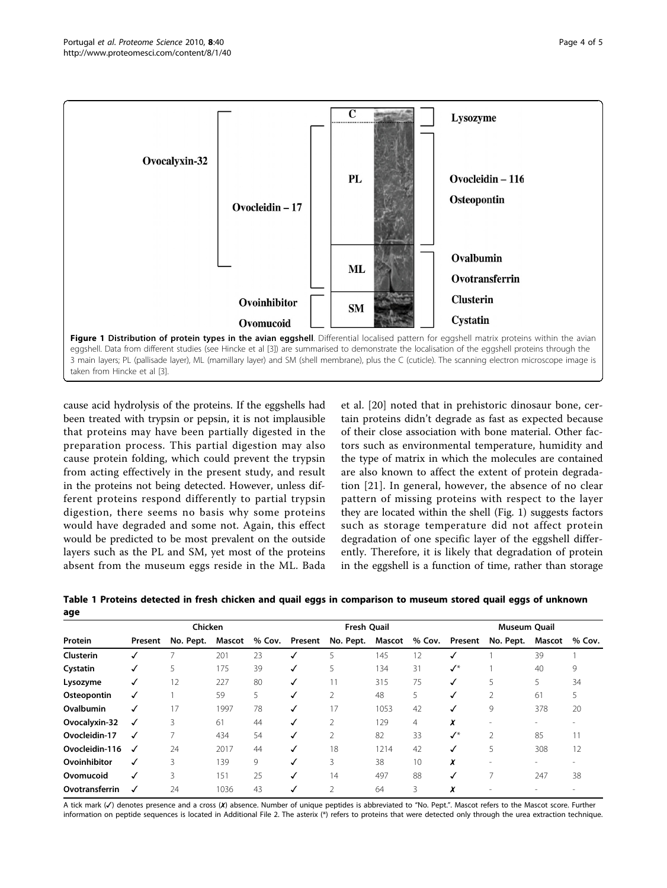<span id="page-3-0"></span>

cause acid hydrolysis of the proteins. If the eggshells had been treated with trypsin or pepsin, it is not implausible that proteins may have been partially digested in the preparation process. This partial digestion may also cause protein folding, which could prevent the trypsin from acting effectively in the present study, and result in the proteins not being detected. However, unless different proteins respond differently to partial trypsin digestion, there seems no basis why some proteins would have degraded and some not. Again, this effect would be predicted to be most prevalent on the outside layers such as the PL and SM, yet most of the proteins absent from the museum eggs reside in the ML. Bada

et al. [[20](#page-4-0)] noted that in prehistoric dinosaur bone, certain proteins didn't degrade as fast as expected because of their close association with bone material. Other factors such as environmental temperature, humidity and the type of matrix in which the molecules are contained are also known to affect the extent of protein degradation [[21\]](#page-4-0). In general, however, the absence of no clear pattern of missing proteins with respect to the layer they are located within the shell (Fig. 1) suggests factors such as storage temperature did not affect protein degradation of one specific layer of the eggshell differently. Therefore, it is likely that degradation of protein in the eggshell is a function of time, rather than storage

|                | Chicken |           |        |        | <b>Fresh Quail</b> |                |               |                | <b>Museum Quail</b> |                          |                          |        |
|----------------|---------|-----------|--------|--------|--------------------|----------------|---------------|----------------|---------------------|--------------------------|--------------------------|--------|
| Protein        | Present | No. Pept. | Mascot | % Cov. | Present            | No. Pept.      | <b>Mascot</b> | % Cov.         | Present             | No. Pept.                | <b>Mascot</b>            | % Cov. |
| Clusterin      |         | ₹         | 201    | 23     |                    | 5              | 145           | 12             |                     |                          | 39                       |        |
| Cystatin       |         | 5         | 175    | 39     | ✓                  | 5              | 134           | 31             | $\checkmark$        |                          | 40                       | 9      |
| Lysozyme       | √       | 12        | 227    | 80     | ✓                  | 11             | 315           | 75             | ✓                   | 5                        | 5                        | 34     |
| Osteopontin    | √       |           | 59     | 5      | ✓                  | 2              | 48            | 5              |                     | 2                        | 61                       |        |
| Ovalbumin      |         | 17        | 1997   | 78     | √                  | 17             | 1053          | 42             |                     | 9                        | 378                      | 20     |
| Ovocalyxin-32  | √       | 3         | 61     | 44     | ✓                  | $\mathfrak{D}$ | 129           | $\overline{4}$ | x                   |                          | $\overline{\phantom{a}}$ |        |
| Ovocleidin-17  | √       | 7         | 434    | 54     | ✓                  | 2              | 82            | 33             | $\checkmark$        | 2                        | 85                       |        |
| Ovocleidin-116 | √       | 24        | 2017   | 44     | ✓                  | 18             | 1214          | 42             |                     | 5                        | 308                      | 12     |
| Ovoinhibitor   | ✓       | 3         | 139    | 9      | ✓                  | 3              | 38            | 10             | x                   | $\overline{\phantom{a}}$ | $\overline{\phantom{a}}$ |        |
| Ovomucoid      | √       | 3         | 151    | 25     | ✓                  | 14             | 497           | 88             |                     |                          | 247                      | 38     |
| Ovotransferrin |         | 24        | 1036   | 43     |                    | $\mathcal{P}$  | 64            | 3              | x                   |                          |                          |        |

Table 1 Proteins detected in fresh chicken and quail eggs in comparison to museum stored quail eggs of unknown age

A tick mark (✓) denotes presence and a cross (✗) absence. Number of unique peptides is abbreviated to "No. Pept.". Mascot refers to the Mascot score. Further information on peptide sequences is located in Additional File [2](#page-4-0). The asterix (\*) refers to proteins that were detected only through the urea extraction technique.